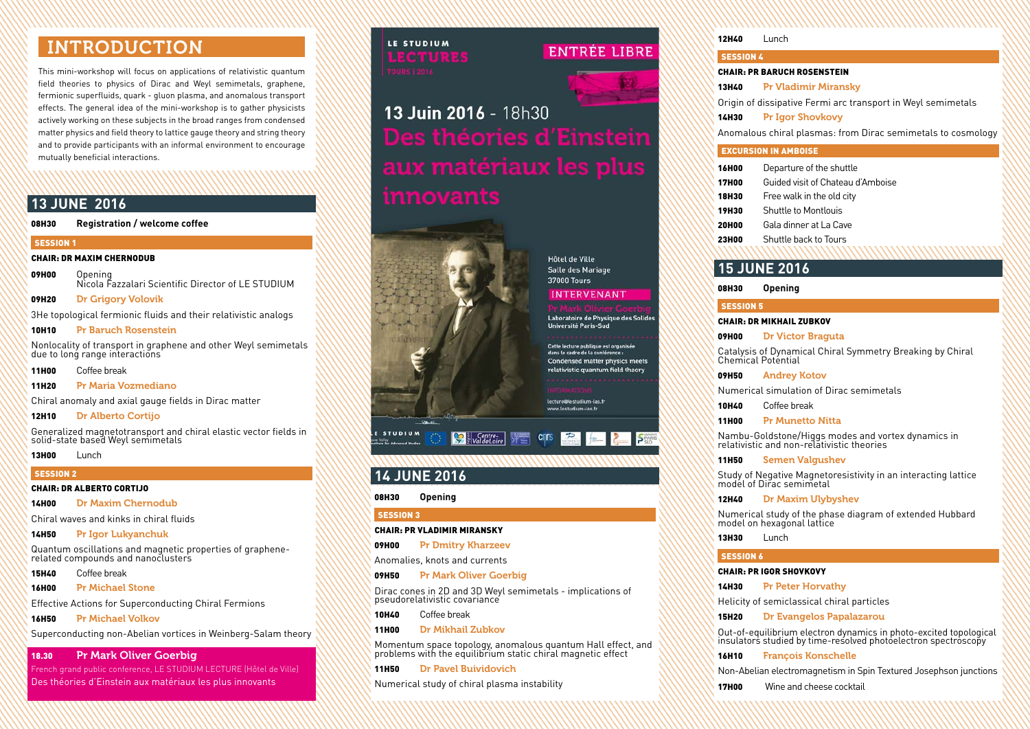# INTRODUCTION

This mini-workshop will focus on applications of relativistic quantum field theories to physics of Dirac and Weyl semimetals, graphene, fermionic superfluids, quark - gluon plasma, and anomalous transport effects. The general idea of the mini-workshop is to gather physicists actively working on these subjects in the broad ranges from condensed matter physics and field theory to lattice gauge theory and string theory and to provide participants with an informal environment to encourage mutually beneficial interactions.

## **13 JUNE 2016**

#### 08H30 **Registration / welcome coffee**

#### SESSION<sub>1</sub>

#### CHAIR: DR MAXIM CHERNODUB

09H00 Opening Nicola Fazzalari Scientific Director of LE STUDIUM

09H20 Dr Grigory Volovik

3He topological fermionic fluids and their relativistic analogs

10H10 Pr Baruch Rosenstein

Nonlocality of transport in graphene and other Weyl semimetals due to long range interactions

11H00 Coffee break

11H20 Pr Maria Vozmediano

Chiral anomaly and axial gauge fields in Dirac matter

12H10 Dr Alberto Cortijo

Generalized magnetotransport and chiral elastic vector fields in solid-state based Weyl semimetals

13H00 Lunch

#### SESSION 2

#### CHAIR: DR ALBERTO CORTIJO

14H00 Dr Maxim Chernodub

Chiral waves and kinks in chiral fluids

14H50 Pr Igor Lukyanchuk

Quantum oscillations and magnetic properties of graphenerelated compounds and nanoclusters

15H40 Coffee break

16H00 Pr Michael Stone

Effective Actions for Superconducting Chiral Fermions

16H50 Pr Michael Volkov

Superconducting non-Abelian vortices in Weinberg-Salam theory

### 18.30 Pr Mark Oliver Goerbig

French grand public conference, LE STUDIUM LECTURE (Hôtel de Ville) Des théories d'Einstein aux matériaux les plus innovants

# LE STUDIUM **式喻直归浪乐**

## **ENTRÉE LIBRE**



13 Juin 2016 - 18h30 innovants



**Hôtel de Ville** Salle des Mariage 37000 Tours

### **INTERVENANT**

Laboratoire de Physique des Solides **Université Paris-Sud** 

Cette lecture publique est organisée dans le cadre de la con **Condensed matter physics meets** relativistic quantum field theory

lecture@lestudium-ias.f www.lestudium-ias.f

## **C<sub>m</sub>rs**

## **14 JUNE 2016**

#### 08H30 **Opening**

#### SESSION 3

#### CHAIR: PR VLADIMIR MIRANSKY

09H00 Pr Dmitry Kharzeev

Anomalies, knots and currents

09H50 Pr Mark Oliver Goerbig

Dirac cones in 2D and 3D Weyl semimetals - implications of pseudorelativistic covariance

10H40 Coffee break

#### 11H00 Dr Mikhail Zubkov

Momentum space topology, anomalous quantum Hall effect, and problems with the equilibrium static chiral magnetic effect

11H50 Dr Pavel Buividovich

Numerical study of chiral plasma instability

| <b>12H40</b>                                                 | Lunch                                                        |
|--------------------------------------------------------------|--------------------------------------------------------------|
| <b>SESSION 4</b>                                             |                                                              |
| <b>CHAIR: PR BARUCH ROSENSTEIN</b>                           |                                                              |
| 13H40                                                        | <b>Pr Vladimir Miransky</b>                                  |
|                                                              | Origin of dissipative Fermi arc transport in Weyl semimetals |
| <b>14H30</b>                                                 | <b>Pr Igor Shovkovy</b>                                      |
| Anomalous chiral plasmas: from Dirac semimetals to cosmology |                                                              |
|                                                              | <b>EXCURSION IN AMBOISE</b>                                  |
| <b>16H00</b>                                                 | Departure of the shuttle                                     |
| <b>17H00</b>                                                 | Guided visit of Chateau d'Amboise                            |
| <b>18H30</b>                                                 | Free walk in the old city                                    |
| <b>19H30</b>                                                 | Shuttle to Montlouis                                         |
| 20H00                                                        | Gala dinner at La Cave                                       |
| <b>23H00</b>                                                 | Shuttle back to Tours                                        |
|                                                              |                                                              |
|                                                              | <b>15 JUNE 2016</b>                                          |
| 08H30                                                        | <b>Opening</b>                                               |
| <b>SESSION 5</b>                                             |                                                              |
| <b>CHAIR: DR MIKHAIL ZUBKOV</b>                              |                                                              |
| 09H00                                                        | <b>Dr Victor Braguta</b>                                     |

Catalysis of Dynamical Chiral Symmetry Breaking by Chiral Chemical Potential

09H50 Andrey Kotov

Numerical simulation of Dirac semimetals

10H40 Coffee break

11H00 Pr Munetto Nitta

Nambu-Goldstone/Higgs modes and vortex dynamics in relativistic and non-relativistic theories

11H50 Semen Valgushev

Study of Negative Magnetoresistivity in an interacting lattice model of Dirac semimetal

12H40 Dr Maxim Ulybyshev

Numerical study of the phase diagram of extended Hubbard model on hexagonal lattice

13H30 Lunch

#### SESSION 6

#### CHAIR: PR IGOR SHOVKOVY

14H30 Pr Peter Horvathy

Helicity of semiclassical chiral particles

15H20 Dr Evangelos Papalazarou

Out-of-equilibrium electron dynamics in photo-excited topological insulators studied by time-resolved photoelectron spectroscopy

16H10 François Konschelle

Non-Abelian electromagnetism in Spin Textured Josephson junctions

**17H00** Wine and cheese cocktail